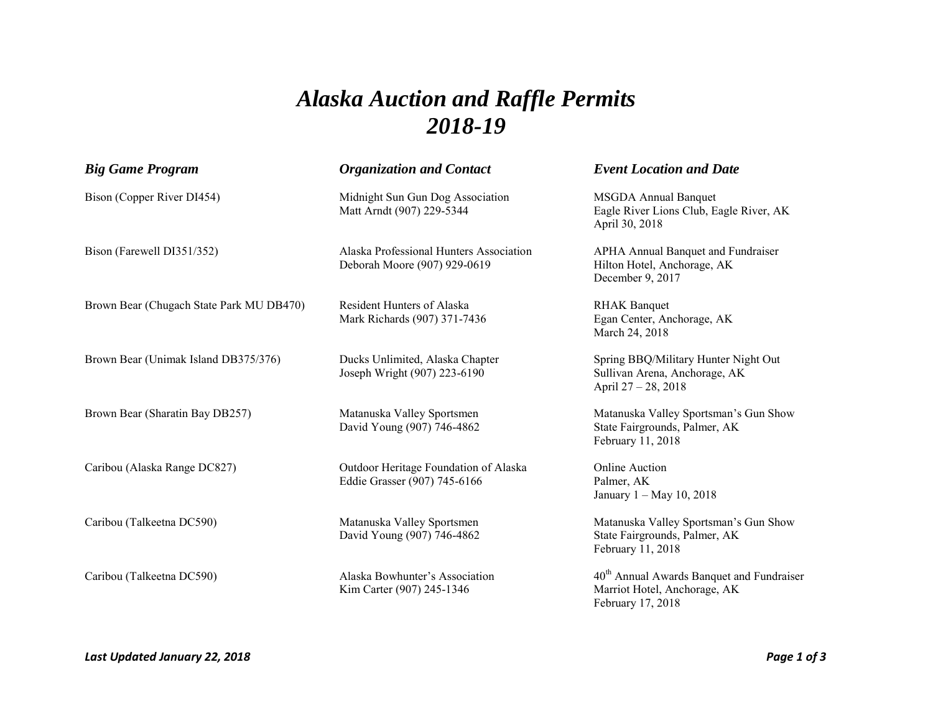## *Alaska Auction and Raffle Permits 2018-19*

| <b>Big Game Program</b>                  | <b>Organization and Contact</b>                                         | <b>Event Location and Date</b>                                                                             |
|------------------------------------------|-------------------------------------------------------------------------|------------------------------------------------------------------------------------------------------------|
| Bison (Copper River DI454)               | Midnight Sun Gun Dog Association<br>Matt Arndt (907) 229-5344           | <b>MSGDA Annual Banquet</b><br>Eagle River Lions Club, Eagle River, AK<br>April 30, 2018                   |
| Bison (Farewell DI351/352)               | Alaska Professional Hunters Association<br>Deborah Moore (907) 929-0619 | <b>APHA Annual Banquet and Fundraiser</b><br>Hilton Hotel, Anchorage, AK<br>December 9, 2017               |
| Brown Bear (Chugach State Park MU DB470) | <b>Resident Hunters of Alaska</b><br>Mark Richards (907) 371-7436       | <b>RHAK Banquet</b><br>Egan Center, Anchorage, AK<br>March 24, 2018                                        |
| Brown Bear (Unimak Island DB375/376)     | Ducks Unlimited, Alaska Chapter<br>Joseph Wright (907) 223-6190         | Spring BBQ/Military Hunter Night Out<br>Sullivan Arena, Anchorage, AK<br>April 27 - 28, 2018               |
| Brown Bear (Sharatin Bay DB257)          | Matanuska Valley Sportsmen<br>David Young (907) 746-4862                | Matanuska Valley Sportsman's Gun Show<br>State Fairgrounds, Palmer, AK<br>February 11, 2018                |
| Caribou (Alaska Range DC827)             | Outdoor Heritage Foundation of Alaska<br>Eddie Grasser (907) 745-6166   | <b>Online Auction</b><br>Palmer, AK<br>January 1 - May 10, 2018                                            |
| Caribou (Talkeetna DC590)                | Matanuska Valley Sportsmen<br>David Young (907) 746-4862                | Matanuska Valley Sportsman's Gun Show<br>State Fairgrounds, Palmer, AK<br>February 11, 2018                |
| Caribou (Talkeetna DC590)                | Alaska Bowhunter's Association<br>Kim Carter (907) 245-1346             | 40 <sup>th</sup> Annual Awards Banquet and Fundraiser<br>Marriot Hotel, Anchorage, AK<br>February 17, 2018 |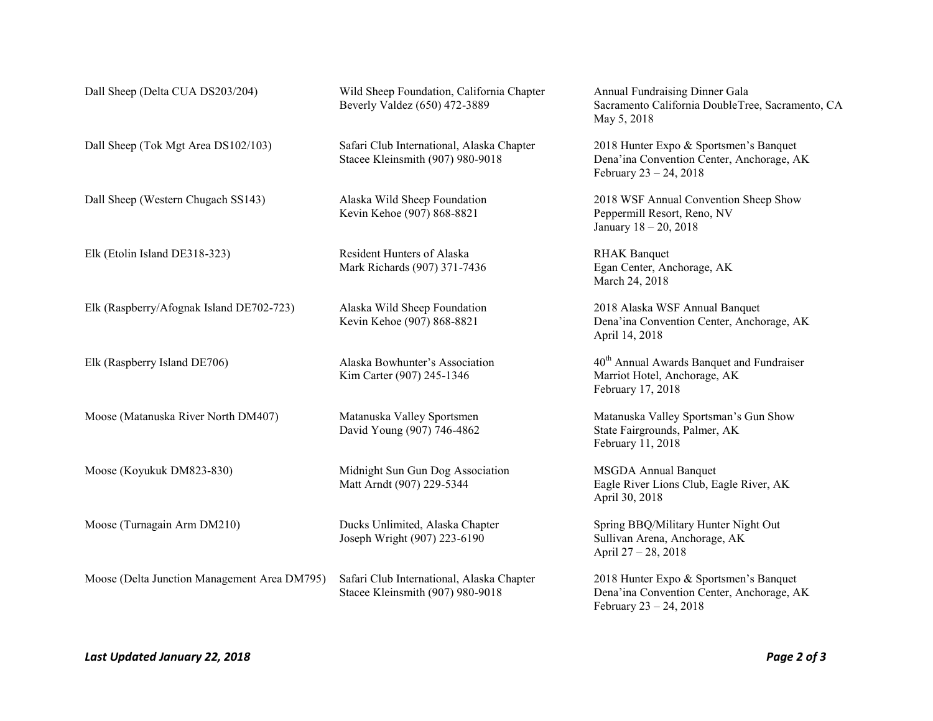| Dall Sheep (Delta CUA DS203/204)             | Wild Sheep Foundation, California Chapter<br>Beverly Valdez (650) 472-3889    | Annual Fundraising Dinner Gala<br>Sacramento California DoubleTree, Sacramento, CA<br>May 5, 2018                  |
|----------------------------------------------|-------------------------------------------------------------------------------|--------------------------------------------------------------------------------------------------------------------|
| Dall Sheep (Tok Mgt Area DS102/103)          | Safari Club International, Alaska Chapter<br>Stacee Kleinsmith (907) 980-9018 | 2018 Hunter Expo & Sportsmen's Banquet<br>Dena'ina Convention Center, Anchorage, AK<br>February $23 - 24$ , $2018$ |
| Dall Sheep (Western Chugach SS143)           | Alaska Wild Sheep Foundation<br>Kevin Kehoe (907) 868-8821                    | 2018 WSF Annual Convention Sheep Show<br>Peppermill Resort, Reno, NV<br>January 18 - 20, 2018                      |
| Elk (Etolin Island DE318-323)                | Resident Hunters of Alaska<br>Mark Richards (907) 371-7436                    | <b>RHAK Banquet</b><br>Egan Center, Anchorage, AK<br>March 24, 2018                                                |
| Elk (Raspberry/Afognak Island DE702-723)     | Alaska Wild Sheep Foundation<br>Kevin Kehoe (907) 868-8821                    | 2018 Alaska WSF Annual Banquet<br>Dena'ina Convention Center, Anchorage, AK<br>April 14, 2018                      |
| Elk (Raspberry Island DE706)                 | Alaska Bowhunter's Association<br>Kim Carter (907) 245-1346                   | 40 <sup>th</sup> Annual Awards Banquet and Fundraiser<br>Marriot Hotel, Anchorage, AK<br>February 17, 2018         |
| Moose (Matanuska River North DM407)          | Matanuska Valley Sportsmen<br>David Young (907) 746-4862                      | Matanuska Valley Sportsman's Gun Show<br>State Fairgrounds, Palmer, AK<br>February 11, 2018                        |
| Moose (Koyukuk DM823-830)                    | Midnight Sun Gun Dog Association<br>Matt Arndt (907) 229-5344                 | <b>MSGDA Annual Banquet</b><br>Eagle River Lions Club, Eagle River, AK<br>April 30, 2018                           |
| Moose (Turnagain Arm DM210)                  | Ducks Unlimited, Alaska Chapter<br>Joseph Wright (907) 223-6190               | Spring BBQ/Military Hunter Night Out<br>Sullivan Arena, Anchorage, AK<br>April 27 - 28, 2018                       |
| Moose (Delta Junction Management Area DM795) | Safari Club International, Alaska Chapter<br>Stacee Kleinsmith (907) 980-9018 | 2018 Hunter Expo & Sportsmen's Banquet<br>Dena'ina Convention Center, Anchorage, AK<br>February $23 - 24$ , 2018   |